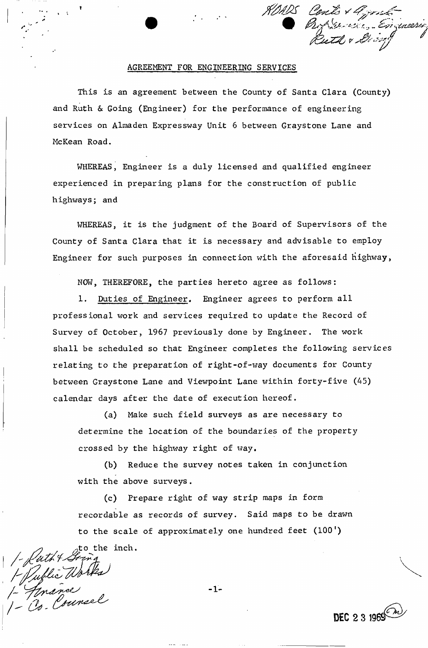

DEC 2 3 1969 $\frac{2}{2}$ 

### AGREEMENT FOR ENGINEERING SERVICES

This is an agreement between the County of Santa Clara (County) and Ruth & Going (Engineer) for the performance of engineering services on Almaden Expressway Unit 6 between Graystone Lane and McKean Road.

WHEREAS, Engineer is a duly licensed and qualified engineer experienced in preparing plans for the construction of public highways; and

WHEREAS, it is the judgment of the Board of Supervisors of the County of Santa Clara that it is necessary and advisable to employ Engineer for such purposes in connection with the aforesaid highway,

NOW, THEREFORE, the parties hereto agree as follows:

1. Duties of Engineer, Engineer agrees to perform all professional work and services required to update the Record of Survey of October, 1967 previously done by Engineer. The work shall be scheduled so that Engineer completes the following services relating to the preparation of right-of-way documents for County between Graystone Lane and Viewpoint Lane within forty-five (45) calendar days after the date of execution hereof.

(a) Make such field surveys as are necessary to determine the location of the boundaries of the property crossed by the highway right of way.

(b) Reduce the survey notes taken in conjunction with the above surveys.

(c) Prepare right of way strip maps in form recordable as records of survey. Said maps to be drawn to the scale of approximately one hundred feet (100')

inclutions<br>1- Public Works<br>1- Jonance<br>1- Co. Counsel

-1-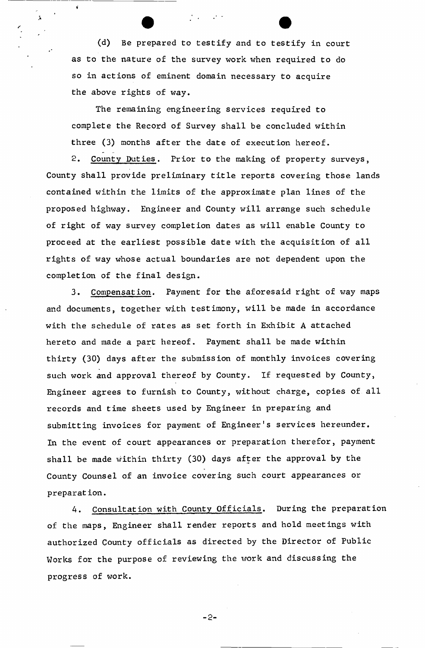(d) Be prepared to testify and to testify in court as to the nature of the survey work when required to do so in actions of eminent domain necessary to acquire the above rights of way.

 $\mathcal{F}(\mathcal{A})=\mathcal{F}(\mathcal{A})$ 

 $\hat{\mathbf{A}}$ 

The remaining engineering services required to complete the Record of Survey shall be concluded within three (3) months after the date of execution hereof.

2. County Duties. Prior to the making of property surveys, County shall provide preliminary title reports covering those lands contained within the limits of the approximate plan lines of the proposed highway. Engineer and County will arrange such schedule of right of way survey completion dates as will enable County to proceed at the earliest possible date with the acquisition of all rights of way whose actual boundaries are not dependent upon the completion of the final design.

3. Compensation. Payment for the aforesaid right of way maps and documents, together with testimony, will be made in accordance with the schedule of rates as set forth in Exhibit A attached hereto and made a part hereof. Payment shall be made within thirty (30) days after the submission of monthly invoices covering such work and approval thereof by County. If requested by County, Engineer agrees to furnish to County, without charge, copies of all records and time sheets used by Engineer in preparing and submitting invoices for payment of Engineer's services hereunder. In the event of court appearances or preparation therefor, payment shall be made within thirty (30) days after the approval by the County Counsel of an invoice covering such court appearances or preparation.

4. Consultation with County Officials. During the preparation of the maps, Engineer shall render reports and hold meetings with authorized County officials as directed by the Director of Public Works for the purpose of reviewing the work and discussing the progress of work.

 $-2-$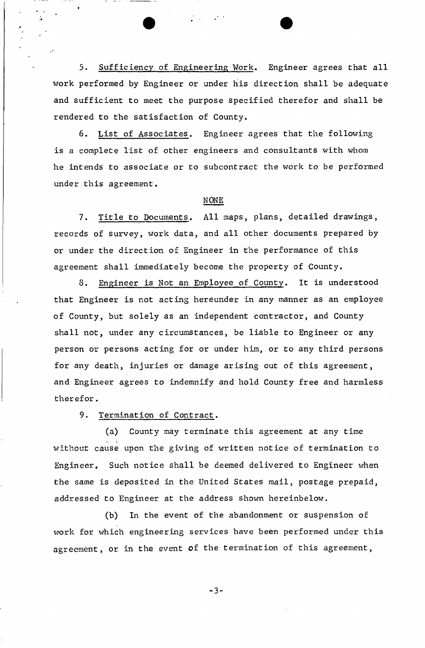5- Sufficiency of Engineering Work. Engineer agrees that all work performed by Engineer or under his direction shall be adequate and sufficient to meet the purpose specified therefor and shall be rendered to the satisfaction of County.

6. List of Associates. Engineer agrees that the following is a complete list of other engineers and consultants with whom he intends to associate or to subcontract the work to be performed under this agreement.

### NONE

7. Title to Documents. All maps, plans, detailed drawings, records of survey, work data, and all other documents prepared by or under the direction of Engineer in the performance of this agreement shall immediately become the property of County.

8. Engineer is Not an Employee of County. It is understood that Engineer is not acting hereunder in any manner as an employee of County, but solely as an independent contractor, and County shall not, under any circumstances, be liable to Engineer or any person or persons acting for or under him, or to any third persons for any death, injuries or damage arising out of this agreement, and Engineer agrees to indemnify and hold County free and harmless therefor.

9. Termination of Contract.

«

(a) County may terminate this agreement at any time without cause upon the giving of written notice of termination to Engineer. Such notice shall be deemed delivered to Engineer when the same is deposited in the United States mail, postage prepaid, addressed to Engineer at the address shown hereinbelow.

(b) In the event of the abandonment or suspension of work for which engineering services have been performed under this agreement, or in the event of the termination of this agreement,

 $-3-$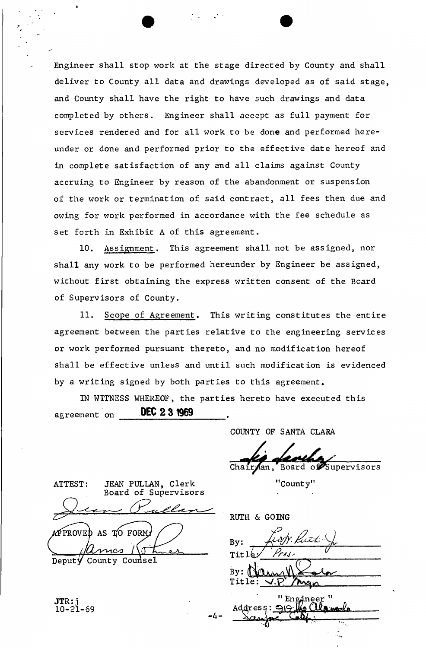Engineer shall stop work at the stage directed by County and shall deliver to County all data and drawings developed as of said stage, and County shall have the right to have such drawings and data completed by others. Engineer shall accept as full payment for services rendered and for all work to be done and performed hereunder or done and performed prior to the effective date hereof and in complete satisfaction of any and all claims against County accruing to Engineer by reason of the abandonment or suspension of the work or termination of said contract, all fees then due and owing for work performed in accordance with the fee schedule as set forth in Exhibit A of this agreement.

10. Assignment. This agreement shall not be assigned, nor shall any work to be performed hereunder by Engineer be assigned, without first obtaining the express written consent of the Board of Supervisors of County.

11. Scope of Agreement. This writing constitutes the entire agreement between the parties relative to the engineering services or work performed pursuant thereto, and no modification hereof shall be effective unless and until such modification is evidenced by a writing signed by both parties to this agreement.

IN WITNESS WHEREOF, the parties hereto have executed this agreement on **DEC 2 3 1969 .** 

-4.

COUNTY OF SANTA CLARA

Chairman, Board of Supervisors

"County"

ATTEST: JEAN PULLAN, Clerk "County" Board of Supervisors APPROVED AS TO FORM

Deput  $\forall$ County Counsel

JTR: j 10-21-69

RUTH & GOING

By: Kros, Title By: **Title** man

" Engineer Address: 919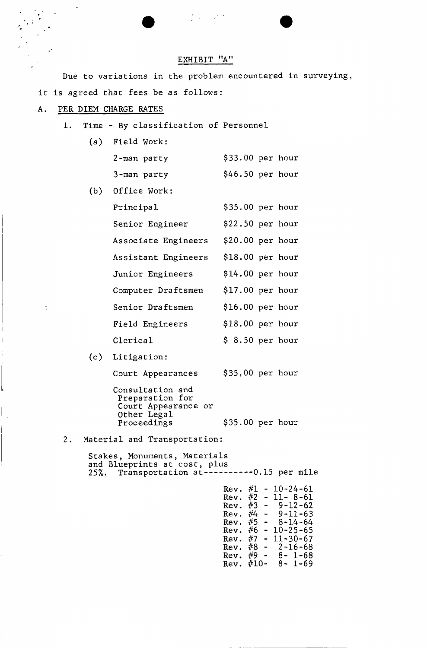## EXHIBIT "A"

 $\mathcal{L}_{\mathcal{A}} = \mathcal{L}_{\mathcal{A}}$ 

Due to variations in the problem encountered in surveying, it is agreed that fees be as follows:

#### A. PER DIEM CHARGE RATES

- 1. Time By classification of Personnel
	- $(a)$ Field Work: 2-man party \$33.00 per hour 3-man party \$46.50 per hour
	- $(b)$ Office Work:
		- Principal  $$35.00$  per hour Senior Engineer \$22.50 per hour Associate Engineers \$20.00 per hour Assistant Engineers \$18.00 per hour Junior Engineers \$14.00 per hour Computer Draftsmen \$17.00 per hour Senior Draftsmen \$16.00 per hour Field Engineers \$18.00 per hour  $\text{Clerical}$  \$ 8.50 per hour
	- Litigation:

 $\ddot{\cdot}$ 

Court Appearances \$35.00 per hour

Consultation and Preparation for Court Appearance or Other Legal Proceedings \$35.00 per hour

2. Material and Transportation:

Stakes, Monuments, Materials and Blueprints at cost, plus 25%. Transportation at ----------0.15 per mile

> Rev.  $#1 - 10 - 24 - 61$ Rev.  $#2 - 11 - 8 - 61$ Rev. #3 - 9 -12 -62 Rev.  $\frac{4}{4}$  - 9-11-63 Rev.  $\frac{11}{5}$  - 8-14-64 Rev. #6 - 10 -25 -65 Rev.  $#7 - 11 - 30 - 67$ Rev.  $#8 - 2 - 16 - 68$ Rev.  $#9 - 8 - 1 - 68$ Rev.  $#10 - 8 - 1 - 69$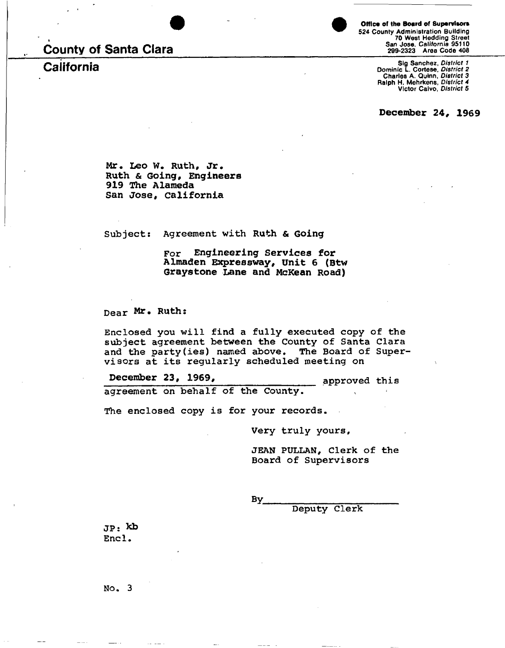# **County of Santa Clara**



**524 County Administration Building 70 West Hedding Street San Jose,** *California* **95110 299-2323 Area Code 406**  Office of the Board of Supervisors

**California California**<br>**Charles A. Quinn,** District 2 **Cortese**, *District 2* **Contese**, *District 2* **Contese**, *District 2* **Charles A. Quinn,** *District 3* **Ralph H. Mehrken8,** *District 4*  **Victor Calvo,** *District 5* 

**December 24, 1969** 

**Mr. Leo W. Ruth, Jr. Ruth & Going, Engineers 919 The Alameda San Jose, California** 

Subjects Agreement with **Ruth & Going** 

For **Engineering Services for Almaden Expressway, Unit 6 (Btw Graystone Lane and McKean Road)** 

Dear Mr. Ruth:

Enclosed you will find a fully executed copy of the subject agreement between the County of Santa Clara and the party(ies) named above. The Board of Supervisors at its regularly scheduled meeting on

agreement on behalf of the County. **December 23, 1969,** *approved this* 

The enclosed copy is for your records.

Very truly yours

JEAN PULLAN, Clerk of the Board of Supervisors

By

Deputy Clerk

JP: Kb Encl.

No. 3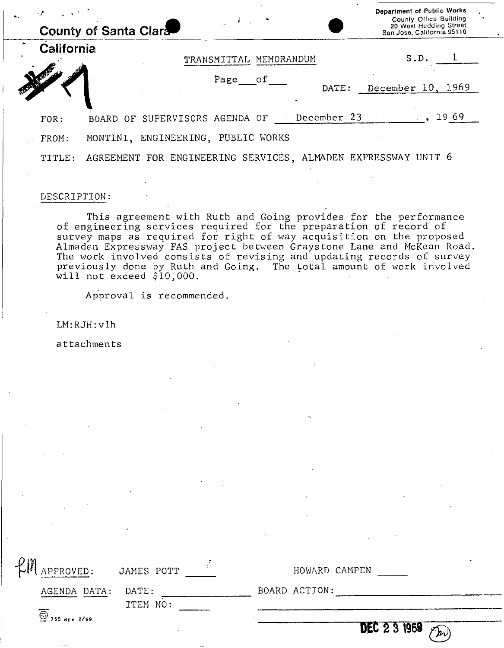| ٠. |                                             | County of Santa Clara                                         | Department of Public Works<br>County Office Building<br>20 West Hedding Street<br>San Jose, California 95110 |  |
|----|---------------------------------------------|---------------------------------------------------------------|--------------------------------------------------------------------------------------------------------------|--|
|    | California                                  | TRANSMITTAL MEMORANDUM                                        | S.D.                                                                                                         |  |
|    |                                             | Page<br>$\circ$ f<br>DATE:                                    | December $10, 1969$                                                                                          |  |
|    | FOR:                                        | December 23<br>BOARD OF SUPERVISORS AGENDA OF                 | 1969                                                                                                         |  |
|    | MONTINI, ENGINEERING, PUBLIC WORKS<br>FROM: |                                                               |                                                                                                              |  |
|    | TITLE:                                      | AGREEMENT FOR ENGINEERING SERVICES, ALMADEN EXPRESSWAY UNIT 6 |                                                                                                              |  |

#### DESCRIPTION:

This agreement with Ruth and Going provides for the performance of engineering services required for the preparation of record of survey maps as required for right of way acquisition on the proposed Almaden Expressway FAS project between Grays tone Lane and McKean Road. The work involved consists of revising and updating records of survey previously done by Ruth and Going. The total amount of work involved will not exceed \$10,000.

Approval is recommended.

LM:RJH:vlh

attachments

| APPROVED: JAMES POTT<br>HOWARD CAMPEN<br>BOARD ACTION:<br>AGENDA DATA: DATE:<br>ITEM NO: | $\overline{\bigcirc}$ 755 REV 2/69 | <b>DEC 23 1969</b><br>'' מ' |
|------------------------------------------------------------------------------------------|------------------------------------|-----------------------------|
|                                                                                          |                                    |                             |
|                                                                                          |                                    |                             |
|                                                                                          |                                    |                             |